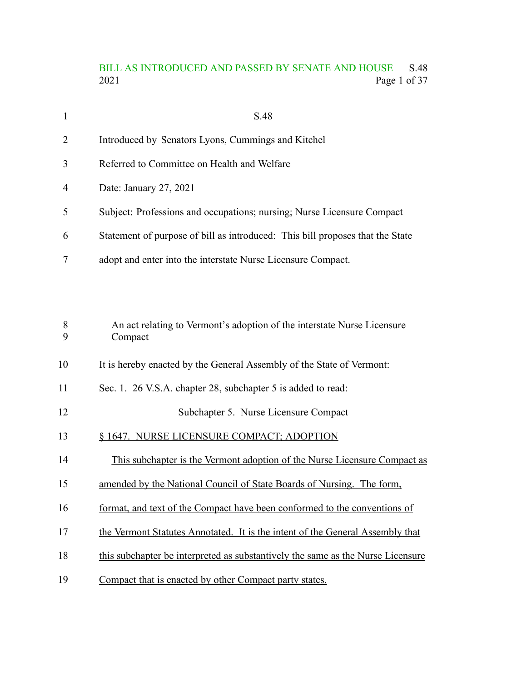# BILL AS INTRODUCED AND PASSED BY SENATE AND HOUSE S.48<br>2021 Page 1 of 37 Page 1 of 37

| $\mathbf{1}$ | S.48                                                                               |
|--------------|------------------------------------------------------------------------------------|
| 2            | Introduced by Senators Lyons, Cummings and Kitchel                                 |
| 3            | Referred to Committee on Health and Welfare                                        |
| 4            | Date: January 27, 2021                                                             |
| 5            | Subject: Professions and occupations; nursing; Nurse Licensure Compact             |
| 6            | Statement of purpose of bill as introduced: This bill proposes that the State      |
| 7            | adopt and enter into the interstate Nurse Licensure Compact.                       |
|              |                                                                                    |
| 8<br>9       | An act relating to Vermont's adoption of the interstate Nurse Licensure<br>Compact |
| 10           | It is hereby enacted by the General Assembly of the State of Vermont:              |
| 11           | Sec. 1. 26 V.S.A. chapter 28, subchapter 5 is added to read:                       |
| 12           | Subchapter 5. Nurse Licensure Compact                                              |
| 13           | § 1647. NURSE LICENSURE COMPACT; ADOPTION                                          |
| 14           | This subchapter is the Vermont adoption of the Nurse Licensure Compact as          |
| 15           | amended by the National Council of State Boards of Nursing. The form,              |
| 16           | format, and text of the Compact have been conformed to the conventions of          |
| 17           | the Vermont Statutes Annotated. It is the intent of the General Assembly that      |
| 18           | this subchapter be interpreted as substantively the same as the Nurse Licensure    |
| 19           | Compact that is enacted by other Compact party states.                             |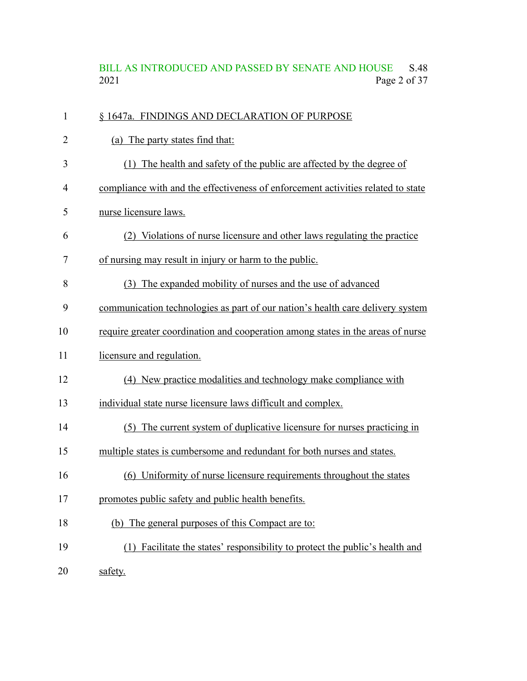# BILL AS INTRODUCED AND PASSED BY SENATE AND HOUSE S.48<br>2021 Page 2 of 37 Page 2 of 37

| 1  | § 1647a. FINDINGS AND DECLARATION OF PURPOSE                                     |
|----|----------------------------------------------------------------------------------|
| 2  | (a) The party states find that:                                                  |
| 3  | (1) The health and safety of the public are affected by the degree of            |
| 4  | compliance with and the effectiveness of enforcement activities related to state |
| 5  | nurse licensure laws.                                                            |
| 6  | (2) Violations of nurse licensure and other laws regulating the practice         |
| 7  | of nursing may result in injury or harm to the public.                           |
| 8  | (3) The expanded mobility of nurses and the use of advanced                      |
| 9  | communication technologies as part of our nation's health care delivery system   |
| 10 | require greater coordination and cooperation among states in the areas of nurse  |
| 11 | licensure and regulation.                                                        |
| 12 | (4) New practice modalities and technology make compliance with                  |
| 13 | individual state nurse licensure laws difficult and complex.                     |
| 14 | (5) The current system of duplicative licensure for nurses practicing in         |
| 15 | multiple states is cumbersome and redundant for both nurses and states.          |
| 16 | (6) Uniformity of nurse licensure requirements throughout the states             |
| 17 | promotes public safety and public health benefits.                               |
| 18 | (b) The general purposes of this Compact are to:                                 |
| 19 | (1) Facilitate the states' responsibility to protect the public's health and     |
| 20 | safety.                                                                          |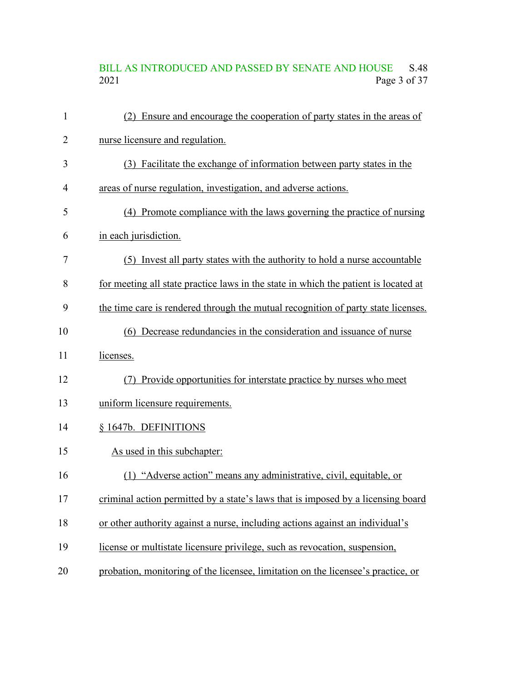# BILL AS INTRODUCED AND PASSED BY SENATE AND HOUSE S.48<br>2021 Page 3 of 37 Page 3 of 37

| $\mathbf{1}$ | (2) Ensure and encourage the cooperation of party states in the areas of            |
|--------------|-------------------------------------------------------------------------------------|
| 2            | nurse licensure and regulation.                                                     |
| 3            | (3) Facilitate the exchange of information between party states in the              |
| 4            | areas of nurse regulation, investigation, and adverse actions.                      |
| 5            | (4) Promote compliance with the laws governing the practice of nursing              |
| 6            | in each jurisdiction.                                                               |
| 7            | (5) Invest all party states with the authority to hold a nurse accountable          |
| 8            | for meeting all state practice laws in the state in which the patient is located at |
| 9            | the time care is rendered through the mutual recognition of party state licenses.   |
| 10           | (6) Decrease redundancies in the consideration and issuance of nurse                |
| 11           | licenses.                                                                           |
| 12           | Provide opportunities for interstate practice by nurses who meet<br>(7)             |
| 13           | uniform licensure requirements.                                                     |
| 14           | § 1647b. DEFINITIONS                                                                |
| 15           | As used in this subchapter:                                                         |
| 16           | (1) "Adverse action" means any administrative, civil, equitable, or                 |
| 17           | criminal action permitted by a state's laws that is imposed by a licensing board    |
| 18           | or other authority against a nurse, including actions against an individual's       |
| 19           | license or multistate licensure privilege, such as revocation, suspension,          |
| 20           | probation, monitoring of the licensee, limitation on the licensee's practice, or    |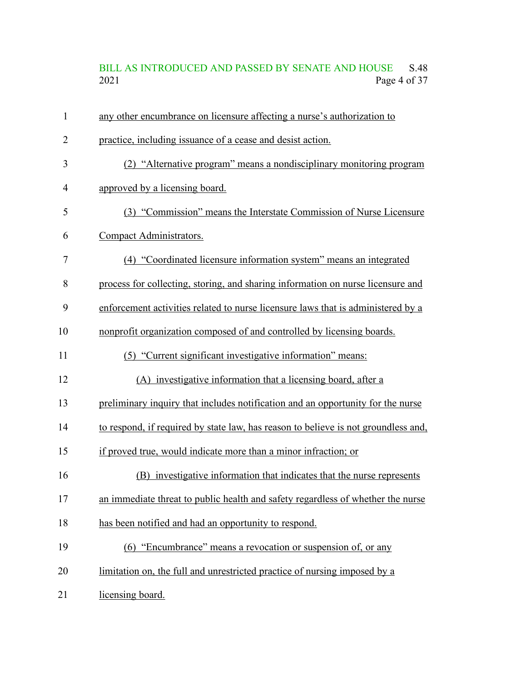# BILL AS INTRODUCED AND PASSED BY SENATE AND HOUSE S.48<br>2021 Page 4 of 37 Page 4 of 37

| 1  | any other encumbrance on licensure affecting a nurse's authorization to            |
|----|------------------------------------------------------------------------------------|
| 2  | practice, including issuance of a cease and desist action.                         |
| 3  | (2) "Alternative program" means a nondisciplinary monitoring program               |
| 4  | approved by a licensing board.                                                     |
| 5  | (3) "Commission" means the Interstate Commission of Nurse Licensure                |
| 6  | Compact Administrators.                                                            |
| 7  | (4) "Coordinated licensure information system" means an integrated                 |
| 8  | process for collecting, storing, and sharing information on nurse licensure and    |
| 9  | enforcement activities related to nurse licensure laws that is administered by a   |
| 10 | nonprofit organization composed of and controlled by licensing boards.             |
| 11 | (5) "Current significant investigative information" means:                         |
| 12 | (A) investigative information that a licensing board, after a                      |
| 13 | preliminary inquiry that includes notification and an opportunity for the nurse    |
| 14 | to respond, if required by state law, has reason to believe is not groundless and, |
| 15 | if proved true, would indicate more than a minor infraction; or                    |
| 16 | (B) investigative information that indicates that the nurse represents             |
| 17 | an immediate threat to public health and safety regardless of whether the nurse    |
| 18 | has been notified and had an opportunity to respond.                               |
| 19 | (6) "Encumbrance" means a revocation or suspension of, or any                      |
| 20 | limitation on, the full and unrestricted practice of nursing imposed by a          |
| 21 | licensing board.                                                                   |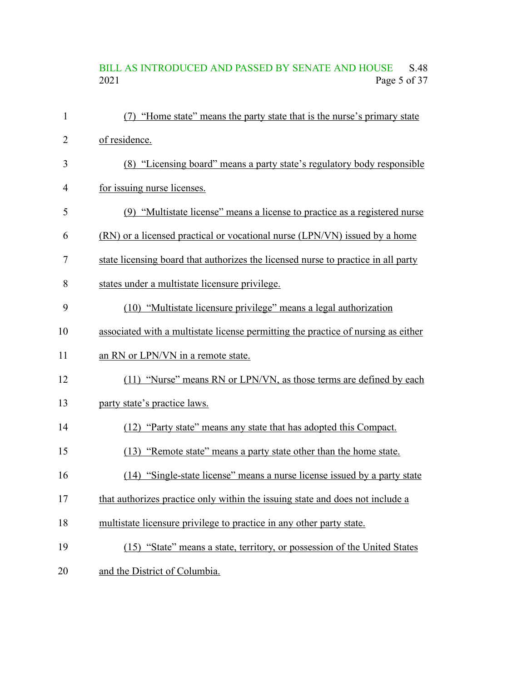# BILL AS INTRODUCED AND PASSED BY SENATE AND HOUSE S.48<br>2021 Page 5 of 37 Page 5 of 37

| $\mathbf{1}$   | (7) "Home state" means the party state that is the nurse's primary state          |
|----------------|-----------------------------------------------------------------------------------|
| 2              | of residence.                                                                     |
| 3              | (8) "Licensing board" means a party state's regulatory body responsible           |
| $\overline{4}$ | for issuing nurse licenses.                                                       |
| 5              | (9) "Multistate license" means a license to practice as a registered nurse        |
| 6              | (RN) or a licensed practical or vocational nurse (LPN/VN) issued by a home        |
| 7              | state licensing board that authorizes the licensed nurse to practice in all party |
| 8              | states under a multistate licensure privilege.                                    |
| 9              | (10) "Multistate licensure privilege" means a legal authorization                 |
| 10             | associated with a multistate license permitting the practice of nursing as either |
| 11             | an RN or LPN/VN in a remote state.                                                |
| 12             | (11) "Nurse" means RN or LPN/VN, as those terms are defined by each               |
| 13             | party state's practice laws.                                                      |
| 14             | (12) "Party state" means any state that has adopted this Compact.                 |
| 15             | (13) "Remote state" means a party state other than the home state.                |
| 16             | (14) "Single-state license" means a nurse license issued by a party state         |
| 17             | that authorizes practice only within the issuing state and does not include a     |
| 18             | multistate licensure privilege to practice in any other party state.              |
| 19             | (15) "State" means a state, territory, or possession of the United States         |
| 20             | and the District of Columbia.                                                     |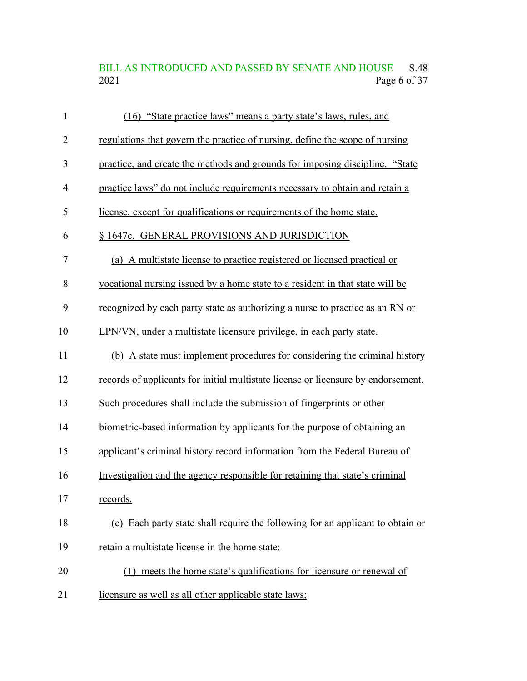# BILL AS INTRODUCED AND PASSED BY SENATE AND HOUSE S.48<br>2021 Page 6 of 37 Page 6 of 37

| $\mathbf{1}$   | (16) "State practice laws" means a party state's laws, rules, and                 |
|----------------|-----------------------------------------------------------------------------------|
| $\overline{2}$ | regulations that govern the practice of nursing, define the scope of nursing      |
| 3              | practice, and create the methods and grounds for imposing discipline. "State      |
| 4              | practice laws" do not include requirements necessary to obtain and retain a       |
| 5              | license, except for qualifications or requirements of the home state.             |
| 6              | § 1647c. GENERAL PROVISIONS AND JURISDICTION                                      |
| 7              | (a) A multistate license to practice registered or licensed practical or          |
| 8              | vocational nursing issued by a home state to a resident in that state will be     |
| 9              | recognized by each party state as authorizing a nurse to practice as an RN or     |
| 10             | LPN/VN, under a multistate licensure privilege, in each party state.              |
| 11             | (b) A state must implement procedures for considering the criminal history        |
| 12             | records of applicants for initial multistate license or licensure by endorsement. |
| 13             | Such procedures shall include the submission of fingerprints or other             |
| 14             | biometric-based information by applicants for the purpose of obtaining an         |
| 15             | applicant's criminal history record information from the Federal Bureau of        |
| 16             | Investigation and the agency responsible for retaining that state's criminal      |
| 17             | records.                                                                          |
| 18             | (c) Each party state shall require the following for an applicant to obtain or    |
| 19             | retain a multistate license in the home state:                                    |
| 20             | (1) meets the home state's qualifications for licensure or renewal of             |
| 21             | licensure as well as all other applicable state laws;                             |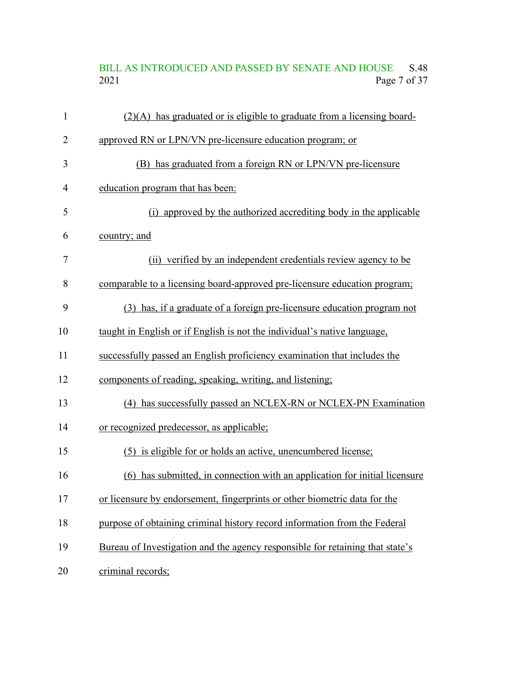# BILL AS INTRODUCED AND PASSED BY SENATE AND HOUSE S.48<br>2021 Page 7 of 37 Page 7 of 37

| $\mathbf{1}$   | (2)(A) has graduated or is eligible to graduate from a licensing board-       |
|----------------|-------------------------------------------------------------------------------|
| 2              | approved RN or LPN/VN pre-licensure education program; or                     |
| 3              | (B) has graduated from a foreign RN or LPN/VN pre-licensure                   |
| $\overline{4}$ | education program that has been:                                              |
| 5              | (i) approved by the authorized accrediting body in the applicable             |
| 6              | country; and                                                                  |
| $\overline{7}$ | (ii) verified by an independent credentials review agency to be               |
| 8              | comparable to a licensing board-approved pre-licensure education program;     |
| 9              | (3) has, if a graduate of a foreign pre-licensure education program not       |
| 10             | taught in English or if English is not the individual's native language,      |
| 11             | successfully passed an English proficiency examination that includes the      |
| 12             | components of reading, speaking, writing, and listening;                      |
| 13             | (4) has successfully passed an NCLEX-RN or NCLEX-PN Examination               |
| 14             | or recognized predecessor, as applicable;                                     |
| 15             | (5) is eligible for or holds an active, unencumbered license;                 |
| 16             | (6) has submitted, in connection with an application for initial licensure    |
| 17             | or licensure by endorsement, fingerprints or other biometric data for the     |
| 18             | purpose of obtaining criminal history record information from the Federal     |
| 19             | Bureau of Investigation and the agency responsible for retaining that state's |
| 20             | criminal records;                                                             |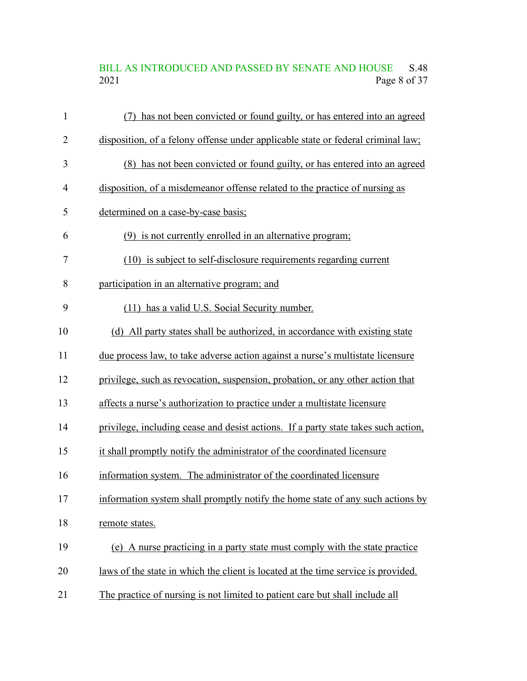# BILL AS INTRODUCED AND PASSED BY SENATE AND HOUSE S.48<br>2021 Page 8 of 37 Page 8 of 37

| $\mathbf{1}$ | (7) has not been convicted or found guilty, or has entered into an agreed          |
|--------------|------------------------------------------------------------------------------------|
| 2            | disposition, of a felony offense under applicable state or federal criminal law;   |
| 3            | (8) has not been convicted or found guilty, or has entered into an agreed          |
| 4            | disposition, of a misdemeanor offense related to the practice of nursing as        |
| 5            | determined on a case-by-case basis;                                                |
| 6            | (9) is not currently enrolled in an alternative program;                           |
| 7            | (10) is subject to self-disclosure requirements regarding current                  |
| 8            | participation in an alternative program; and                                       |
| 9            | (11) has a valid U.S. Social Security number.                                      |
| 10           | (d) All party states shall be authorized, in accordance with existing state        |
| 11           | due process law, to take adverse action against a nurse's multistate licensure     |
| 12           | privilege, such as revocation, suspension, probation, or any other action that     |
| 13           | affects a nurse's authorization to practice under a multistate licensure           |
| 14           | privilege, including cease and desist actions. If a party state takes such action, |
| 15           | it shall promptly notify the administrator of the coordinated licensure            |
| 16           | information system. The administrator of the coordinated licensure                 |
| 17           | information system shall promptly notify the home state of any such actions by     |
| 18           | remote states.                                                                     |
| 19           | (e) A nurse practicing in a party state must comply with the state practice        |
| 20           | laws of the state in which the client is located at the time service is provided.  |
| 21           | The practice of nursing is not limited to patient care but shall include all       |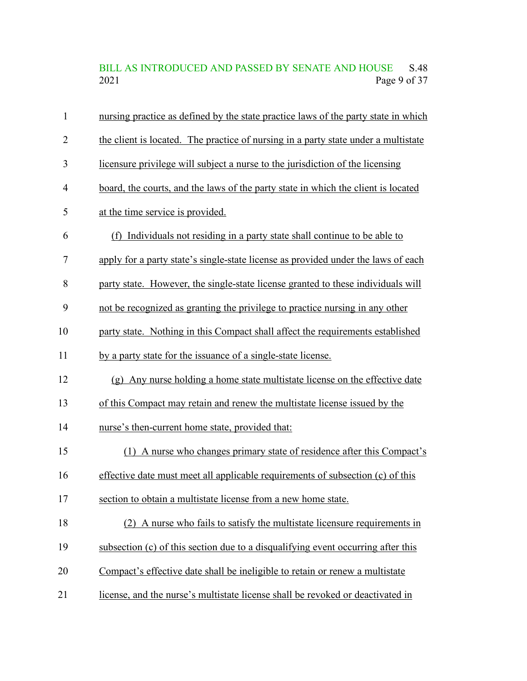# BILL AS INTRODUCED AND PASSED BY SENATE AND HOUSE S.48<br>2021 Page 9 of 37 Page 9 of 37

| $\mathbf{1}$   | nursing practice as defined by the state practice laws of the party state in which |
|----------------|------------------------------------------------------------------------------------|
| 2              | the client is located. The practice of nursing in a party state under a multistate |
| 3              | licensure privilege will subject a nurse to the jurisdiction of the licensing      |
| $\overline{4}$ | board, the courts, and the laws of the party state in which the client is located  |
| 5              | at the time service is provided.                                                   |
| 6              | (f) Individuals not residing in a party state shall continue to be able to         |
| $\overline{7}$ | apply for a party state's single-state license as provided under the laws of each  |
| 8              | party state. However, the single-state license granted to these individuals will   |
| 9              | not be recognized as granting the privilege to practice nursing in any other       |
| 10             | party state. Nothing in this Compact shall affect the requirements established     |
| 11             | by a party state for the issuance of a single-state license.                       |
| 12             | (g) Any nurse holding a home state multistate license on the effective date        |
| 13             | of this Compact may retain and renew the multistate license issued by the          |
| 14             | nurse's then-current home state, provided that:                                    |
| 15             | (1) A nurse who changes primary state of residence after this Compact's            |
| 16             | effective date must meet all applicable requirements of subsection (c) of this     |
| 17             | section to obtain a multistate license from a new home state.                      |
| 18             | (2) A nurse who fails to satisfy the multistate licensure requirements in          |
| 19             | subsection (c) of this section due to a disqualifying event occurring after this   |
| 20             | Compact's effective date shall be ineligible to retain or renew a multistate       |
| 21             | license, and the nurse's multistate license shall be revoked or deactivated in     |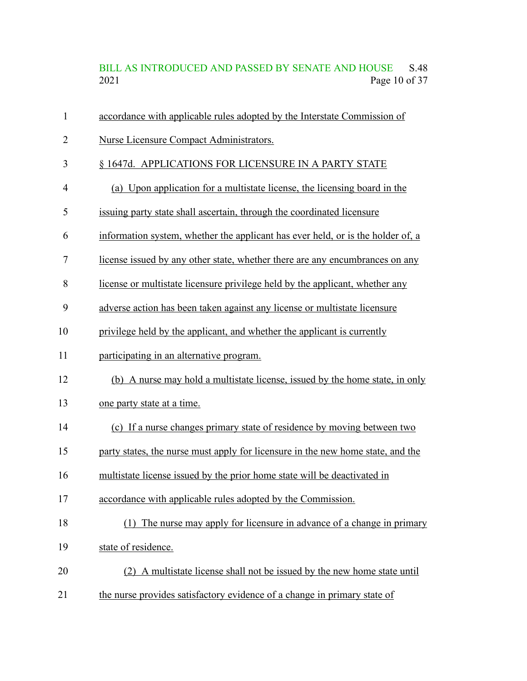BILL AS INTRODUCED AND PASSED BY SENATE AND HOUSE S.48 2021 Page 10 of 37

| 1              | accordance with applicable rules adopted by the Interstate Commission of        |
|----------------|---------------------------------------------------------------------------------|
| $\overline{2}$ | Nurse Licensure Compact Administrators.                                         |
| 3              | § 1647d. APPLICATIONS FOR LICENSURE IN A PARTY STATE                            |
| $\overline{4}$ | (a) Upon application for a multistate license, the licensing board in the       |
| 5              | issuing party state shall ascertain, through the coordinated licensure          |
| 6              | information system, whether the applicant has ever held, or is the holder of, a |
| 7              | license issued by any other state, whether there are any encumbrances on any    |
| 8              | license or multistate licensure privilege held by the applicant, whether any    |
| 9              | adverse action has been taken against any license or multistate licensure       |
| 10             | privilege held by the applicant, and whether the applicant is currently         |
| 11             | participating in an alternative program.                                        |
| 12             | (b) A nurse may hold a multistate license, issued by the home state, in only    |
| 13             | one party state at a time.                                                      |
| 14             | (c) If a nurse changes primary state of residence by moving between two         |
| 15             | party states, the nurse must apply for licensure in the new home state, and the |
| 16             | multistate license issued by the prior home state will be deactivated in        |
| 17             | accordance with applicable rules adopted by the Commission.                     |
| 18             | (1) The nurse may apply for licensure in advance of a change in primary         |
| 19             | state of residence.                                                             |
| 20             | A multistate license shall not be issued by the new home state until            |
| 21             | the nurse provides satisfactory evidence of a change in primary state of        |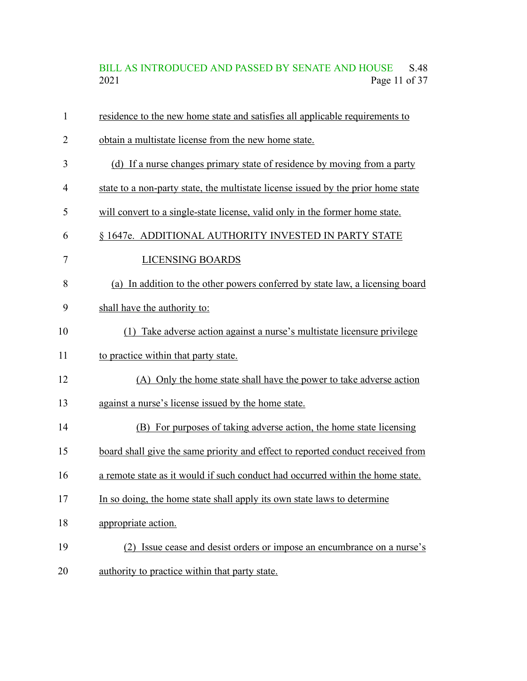BILL AS INTRODUCED AND PASSED BY SENATE AND HOUSE S.48<br>2021 Page 11 of 37 Page 11 of 37

| 1              | residence to the new home state and satisfies all applicable requirements to      |
|----------------|-----------------------------------------------------------------------------------|
| $\overline{2}$ | obtain a multistate license from the new home state.                              |
| 3              | (d) If a nurse changes primary state of residence by moving from a party          |
| 4              | state to a non-party state, the multistate license issued by the prior home state |
| 5              | will convert to a single-state license, valid only in the former home state.      |
| 6              | § 1647e. ADDITIONAL AUTHORITY INVESTED IN PARTY STATE                             |
| 7              | <b>LICENSING BOARDS</b>                                                           |
| 8              | (a) In addition to the other powers conferred by state law, a licensing board     |
| 9              | shall have the authority to:                                                      |
| 10             | (1) Take adverse action against a nurse's multistate licensure privilege          |
| 11             | to practice within that party state.                                              |
| 12             | (A) Only the home state shall have the power to take adverse action               |
| 13             | against a nurse's license issued by the home state.                               |
| 14             | (B) For purposes of taking adverse action, the home state licensing               |
| 15             | board shall give the same priority and effect to reported conduct received from   |
| 16             | a remote state as it would if such conduct had occurred within the home state.    |
| 17             | In so doing, the home state shall apply its own state laws to determine           |
| 18             | appropriate action.                                                               |
| 19             | (2) Issue cease and desist orders or impose an encumbrance on a nurse's           |
| 20             | authority to practice within that party state.                                    |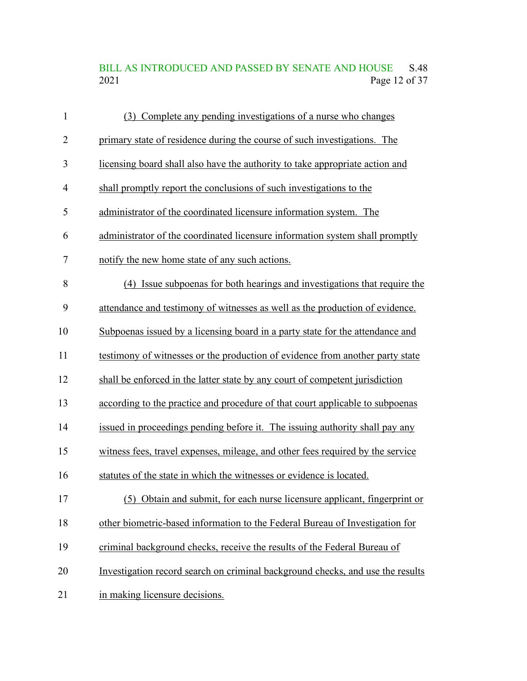#### BILL AS INTRODUCED AND PASSED BY SENATE AND HOUSE S.48<br>2021 Page 12 of 37 Page 12 of 37

| $\mathbf{1}$ | (3) Complete any pending investigations of a nurse who changes                 |
|--------------|--------------------------------------------------------------------------------|
| 2            | primary state of residence during the course of such investigations. The       |
| 3            | licensing board shall also have the authority to take appropriate action and   |
| 4            | shall promptly report the conclusions of such investigations to the            |
| 5            | administrator of the coordinated licensure information system. The             |
| 6            | administrator of the coordinated licensure information system shall promptly   |
| 7            | notify the new home state of any such actions.                                 |
| 8            | (4) Issue subpoenas for both hearings and investigations that require the      |
| 9            | attendance and testimony of witnesses as well as the production of evidence.   |
| 10           | Subpoenas issued by a licensing board in a party state for the attendance and  |
| 11           | testimony of witnesses or the production of evidence from another party state  |
| 12           | shall be enforced in the latter state by any court of competent jurisdiction   |
| 13           | according to the practice and procedure of that court applicable to subpoenas  |
| 14           | issued in proceedings pending before it. The issuing authority shall pay any   |
| 15           | witness fees, travel expenses, mileage, and other fees required by the service |
| 16           | statutes of the state in which the witnesses or evidence is located.           |
| 17           | Obtain and submit, for each nurse licensure applicant, fingerprint or<br>(5)   |
| 18           | other biometric-based information to the Federal Bureau of Investigation for   |
| 19           | criminal background checks, receive the results of the Federal Bureau of       |
| 20           | Investigation record search on criminal background checks, and use the results |
| 21           | in making licensure decisions.                                                 |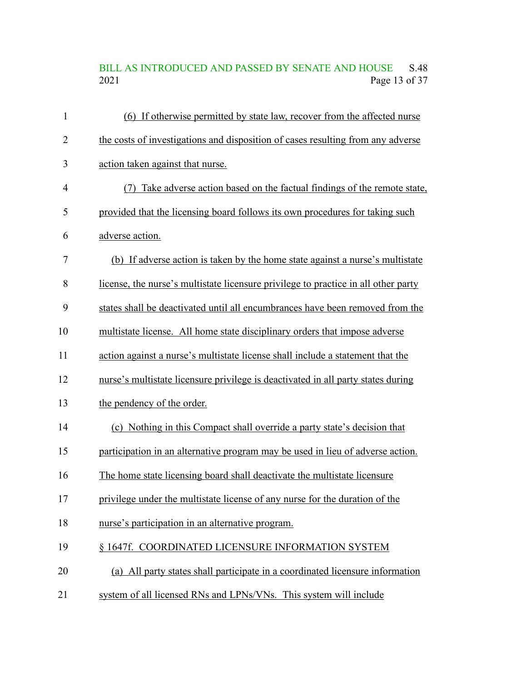## BILL AS INTRODUCED AND PASSED BY SENATE AND HOUSE S.48<br>2021 Page 13 of 37 Page 13 of 37

| $\mathbf{1}$   | (6) If otherwise permitted by state law, recover from the affected nurse           |
|----------------|------------------------------------------------------------------------------------|
| $\overline{2}$ | the costs of investigations and disposition of cases resulting from any adverse    |
| 3              | action taken against that nurse.                                                   |
| $\overline{4}$ | (7) Take adverse action based on the factual findings of the remote state,         |
| 5              | provided that the licensing board follows its own procedures for taking such       |
| 6              | adverse action.                                                                    |
| 7              | (b) If adverse action is taken by the home state against a nurse's multistate      |
| 8              | license, the nurse's multistate licensure privilege to practice in all other party |
| 9              | states shall be deactivated until all encumbrances have been removed from the      |
| 10             | multistate license. All home state disciplinary orders that impose adverse         |
| 11             | action against a nurse's multistate license shall include a statement that the     |
| 12             | nurse's multistate licensure privilege is deactivated in all party states during   |
| 13             | the pendency of the order.                                                         |
| 14             | (c) Nothing in this Compact shall override a party state's decision that           |
| 15             | participation in an alternative program may be used in lieu of adverse action.     |
| 16             | The home state licensing board shall deactivate the multistate licensure           |
| 17             | privilege under the multistate license of any nurse for the duration of the        |
| 18             | nurse's participation in an alternative program.                                   |
| 19             | § 1647f. COORDINATED LICENSURE INFORMATION SYSTEM                                  |
| 20             | (a) All party states shall participate in a coordinated licensure information      |
| 21             | system of all licensed RNs and LPNs/VNs. This system will include                  |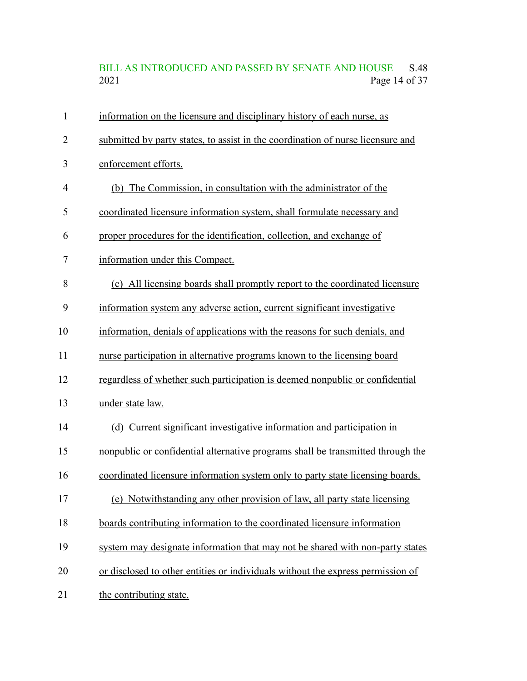# BILL AS INTRODUCED AND PASSED BY SENATE AND HOUSE S.48<br>2021 Page 14 of 37 Page 14 of 37

| 1              | information on the licensure and disciplinary history of each nurse, as         |
|----------------|---------------------------------------------------------------------------------|
| $\overline{2}$ | submitted by party states, to assist in the coordination of nurse licensure and |
| 3              | enforcement efforts.                                                            |
| 4              | (b) The Commission, in consultation with the administrator of the               |
| 5              | coordinated licensure information system, shall formulate necessary and         |
| 6              | proper procedures for the identification, collection, and exchange of           |
| 7              | information under this Compact.                                                 |
| 8              | (c) All licensing boards shall promptly report to the coordinated licensure     |
| 9              | information system any adverse action, current significant investigative        |
| 10             | information, denials of applications with the reasons for such denials, and     |
| 11             | nurse participation in alternative programs known to the licensing board        |
| 12             | regardless of whether such participation is deemed nonpublic or confidential    |
| 13             | under state law.                                                                |
| 14             | (d) Current significant investigative information and participation in          |
| 15             | nonpublic or confidential alternative programs shall be transmitted through the |
| 16             | coordinated licensure information system only to party state licensing boards.  |
| 17             | (e) Notwithstanding any other provision of law, all party state licensing       |
| 18             | boards contributing information to the coordinated licensure information        |
| 19             | system may designate information that may not be shared with non-party states   |
| 20             | or disclosed to other entities or individuals without the express permission of |
| 21             | the contributing state.                                                         |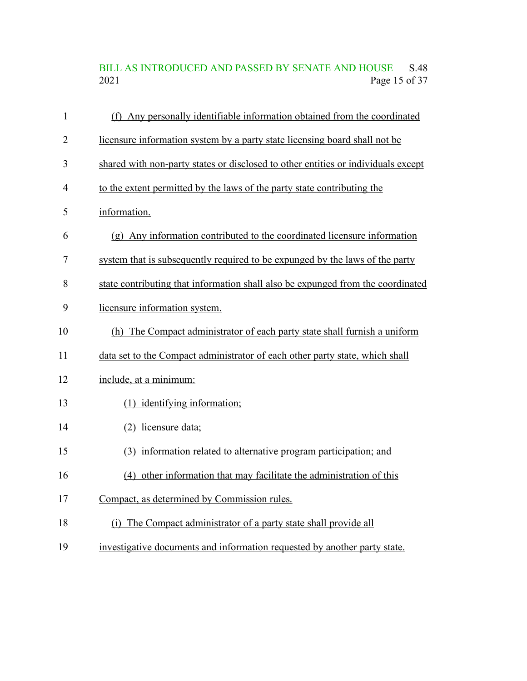# BILL AS INTRODUCED AND PASSED BY SENATE AND HOUSE S.48<br>2021 Page 15 of 37 Page 15 of 37

| $\mathbf{1}$   | (f) Any personally identifiable information obtained from the coordinated         |
|----------------|-----------------------------------------------------------------------------------|
| $\overline{2}$ | licensure information system by a party state licensing board shall not be        |
| 3              | shared with non-party states or disclosed to other entities or individuals except |
| 4              | to the extent permitted by the laws of the party state contributing the           |
| 5              | information.                                                                      |
| 6              | (g) Any information contributed to the coordinated licensure information          |
| 7              | system that is subsequently required to be expunged by the laws of the party      |
| 8              | state contributing that information shall also be expunged from the coordinated   |
| 9              | licensure information system.                                                     |
| 10             | (h) The Compact administrator of each party state shall furnish a uniform         |
| 11             | data set to the Compact administrator of each other party state, which shall      |
| 12             | include, at a minimum:                                                            |
| 13             | (1) identifying information;                                                      |
| 14             | (2) licensure data;                                                               |
| 15             | (3) information related to alternative program participation; and                 |
| 16             | (4) other information that may facilitate the administration of this              |
| 17             | Compact, as determined by Commission rules.                                       |
| 18             | (i) The Compact administrator of a party state shall provide all                  |
| 19             | investigative documents and information requested by another party state.         |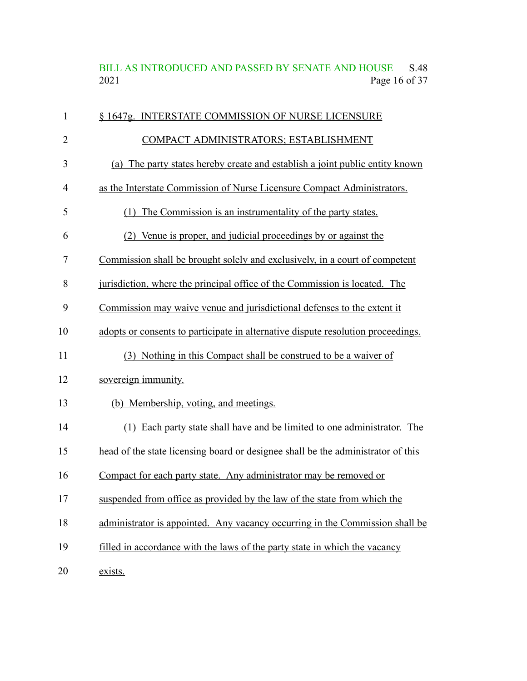BILL AS INTRODUCED AND PASSED BY SENATE AND HOUSE S.48<br>2021 Page 16 of 37 Page 16 of 37

| 1              | § 1647g. INTERSTATE COMMISSION OF NURSE LICENSURE                                |
|----------------|----------------------------------------------------------------------------------|
| $\overline{2}$ | COMPACT ADMINISTRATORS; ESTABLISHMENT                                            |
| 3              | (a) The party states hereby create and establish a joint public entity known     |
| $\overline{4}$ | as the Interstate Commission of Nurse Licensure Compact Administrators.          |
| 5              | (1) The Commission is an instrumentality of the party states.                    |
| 6              | (2) Venue is proper, and judicial proceedings by or against the                  |
| 7              | Commission shall be brought solely and exclusively, in a court of competent      |
| 8              | jurisdiction, where the principal office of the Commission is located. The       |
| 9              | Commission may waive venue and jurisdictional defenses to the extent it          |
| 10             | adopts or consents to participate in alternative dispute resolution proceedings. |
| 11             | (3) Nothing in this Compact shall be construed to be a waiver of                 |
| 12             | sovereign immunity.                                                              |
| 13             | (b) Membership, voting, and meetings.                                            |
| 14             | (1) Each party state shall have and be limited to one administrator. The         |
| 15             | head of the state licensing board or designee shall be the administrator of this |
| 16             | Compact for each party state. Any administrator may be removed or                |
| 17             | suspended from office as provided by the law of the state from which the         |
| 18             | administrator is appointed. Any vacancy occurring in the Commission shall be     |
| 19             | filled in accordance with the laws of the party state in which the vacancy       |
| 20             | exists.                                                                          |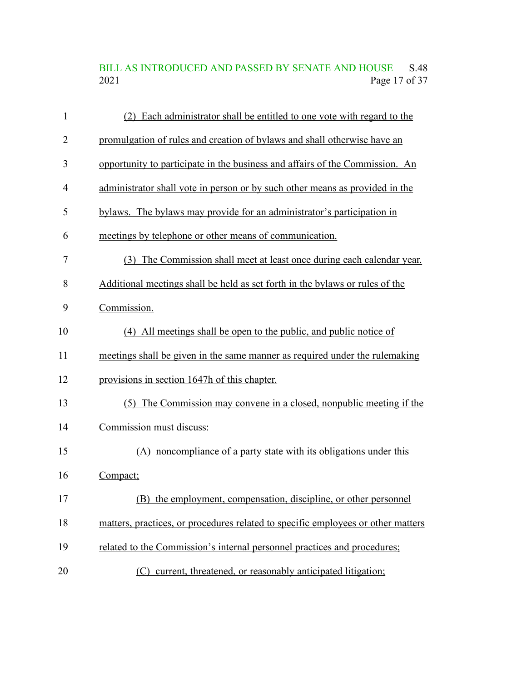## BILL AS INTRODUCED AND PASSED BY SENATE AND HOUSE S.48<br>2021 Page 17 of 37 Page 17 of 37

| 1              | (2) Each administrator shall be entitled to one vote with regard to the          |
|----------------|----------------------------------------------------------------------------------|
| $\overline{2}$ | promulgation of rules and creation of bylaws and shall otherwise have an         |
| 3              | opportunity to participate in the business and affairs of the Commission. An     |
| 4              | administrator shall vote in person or by such other means as provided in the     |
| 5              | bylaws. The bylaws may provide for an administrator's participation in           |
| 6              | meetings by telephone or other means of communication.                           |
| 7              | (3) The Commission shall meet at least once during each calendar year.           |
| 8              | Additional meetings shall be held as set forth in the bylaws or rules of the     |
| 9              | Commission.                                                                      |
| 10             | (4) All meetings shall be open to the public, and public notice of               |
| 11             | meetings shall be given in the same manner as required under the rulemaking      |
| 12             | provisions in section 1647h of this chapter.                                     |
| 13             | (5) The Commission may convene in a closed, nonpublic meeting if the             |
| 14             | Commission must discuss:                                                         |
| 15             | (A) noncompliance of a party state with its obligations under this               |
| 16             | Compact;                                                                         |
| 17             | (B) the employment, compensation, discipline, or other personnel                 |
| 18             | matters, practices, or procedures related to specific employees or other matters |
| 19             | related to the Commission's internal personnel practices and procedures;         |
| 20             | (C) current, threatened, or reasonably anticipated litigation;                   |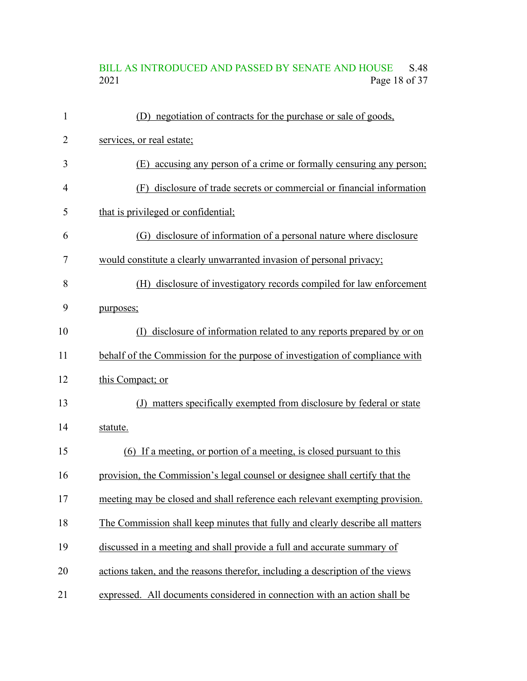# BILL AS INTRODUCED AND PASSED BY SENATE AND HOUSE S.48<br>2021 Page 18 of 37 Page 18 of 37

| 1              | (D) negotiation of contracts for the purchase or sale of goods,                                 |
|----------------|-------------------------------------------------------------------------------------------------|
| 2              | services, or real estate;                                                                       |
| 3              | (E) accusing any person of a crime or formally censuring any person;                            |
| $\overline{4}$ | (F) disclosure of trade secrets or commercial or financial information                          |
| 5              | that is privileged or confidential;                                                             |
| 6              | (G) disclosure of information of a personal nature where disclosure                             |
| 7              | would constitute a clearly unwarranted invasion of personal privacy;                            |
| 8              | (H) disclosure of investigatory records compiled for law enforcement                            |
| 9              | purposes;                                                                                       |
| 10             | (I) disclosure of information related to any reports prepared by or on                          |
| 11             | behalf of the Commission for the purpose of investigation of compliance with                    |
| 12             | this Compact; or                                                                                |
| 13             | matters specifically exempted from disclosure by federal or state<br>$\left( \mathrm{J}\right)$ |
| 14             | statute.                                                                                        |
| 15             | (6) If a meeting, or portion of a meeting, is closed pursuant to this                           |
| 16             | provision, the Commission's legal counsel or designee shall certify that the                    |
| 17             | meeting may be closed and shall reference each relevant exempting provision.                    |
| 18             | The Commission shall keep minutes that fully and clearly describe all matters                   |
| 19             | discussed in a meeting and shall provide a full and accurate summary of                         |
| 20             | actions taken, and the reasons therefor, including a description of the views                   |
| 21             | expressed. All documents considered in connection with an action shall be                       |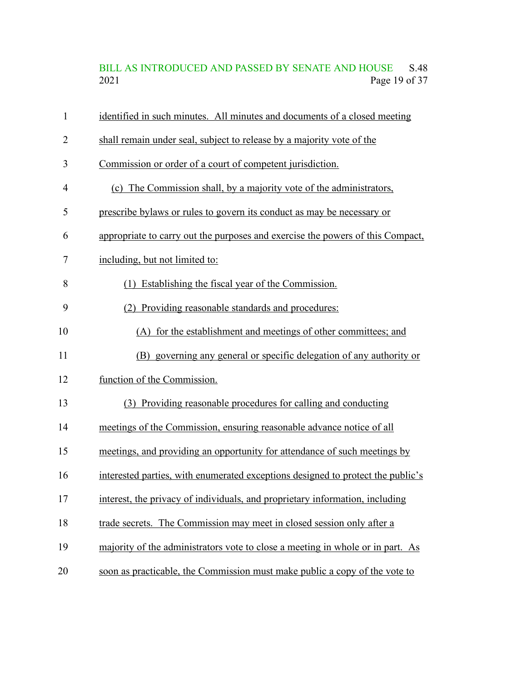# BILL AS INTRODUCED AND PASSED BY SENATE AND HOUSE S.48<br>2021 Page 19 of 37 Page 19 of 37

| $\mathbf{1}$ | identified in such minutes. All minutes and documents of a closed meeting       |
|--------------|---------------------------------------------------------------------------------|
| 2            | shall remain under seal, subject to release by a majority vote of the           |
| 3            | Commission or order of a court of competent jurisdiction.                       |
| 4            | (c) The Commission shall, by a majority vote of the administrators,             |
| 5            | prescribe by laws or rules to govern its conduct as may be necessary or         |
| 6            | appropriate to carry out the purposes and exercise the powers of this Compact,  |
| 7            | including, but not limited to:                                                  |
| 8            | (1) Establishing the fiscal year of the Commission.                             |
| 9            | (2) Providing reasonable standards and procedures:                              |
| 10           | (A) for the establishment and meetings of other committees; and                 |
| 11           | (B) governing any general or specific delegation of any authority or            |
| 12           | function of the Commission.                                                     |
| 13           | (3) Providing reasonable procedures for calling and conducting                  |
| 14           | meetings of the Commission, ensuring reasonable advance notice of all           |
| 15           | meetings, and providing an opportunity for attendance of such meetings by       |
| 16           | interested parties, with enumerated exceptions designed to protect the public's |
| 17           | interest, the privacy of individuals, and proprietary information, including    |
| 18           | trade secrets. The Commission may meet in closed session only after a           |
| 19           | majority of the administrators vote to close a meeting in whole or in part. As  |
| 20           | soon as practicable, the Commission must make public a copy of the vote to      |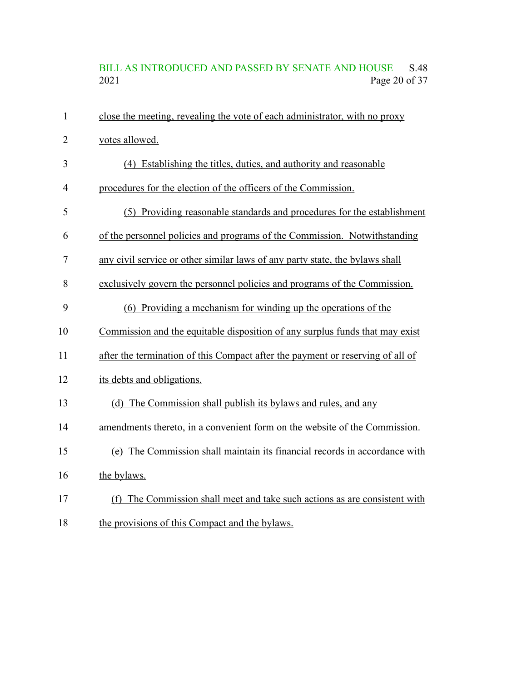# BILL AS INTRODUCED AND PASSED BY SENATE AND HOUSE S.48<br>2021 Page 20 of 37 Page 20 of 37

| $\mathbf{1}$   | close the meeting, revealing the vote of each administrator, with no proxy     |
|----------------|--------------------------------------------------------------------------------|
| $\overline{2}$ | votes allowed.                                                                 |
| 3              | (4) Establishing the titles, duties, and authority and reasonable              |
| $\overline{4}$ | procedures for the election of the officers of the Commission.                 |
| 5              | (5) Providing reasonable standards and procedures for the establishment        |
| 6              | of the personnel policies and programs of the Commission. Notwithstanding      |
| $\overline{7}$ | any civil service or other similar laws of any party state, the bylaws shall   |
| 8              | exclusively govern the personnel policies and programs of the Commission.      |
| 9              | (6) Providing a mechanism for winding up the operations of the                 |
| 10             | Commission and the equitable disposition of any surplus funds that may exist   |
| 11             | after the termination of this Compact after the payment or reserving of all of |
| 12             | its debts and obligations.                                                     |
| 13             | (d) The Commission shall publish its bylaws and rules, and any                 |
| 14             | amendments thereto, in a convenient form on the website of the Commission.     |
| 15             | (e) The Commission shall maintain its financial records in accordance with     |
| 16             | the bylaws.                                                                    |
| 17             | (f) The Commission shall meet and take such actions as are consistent with     |
| 18             | the provisions of this Compact and the bylaws.                                 |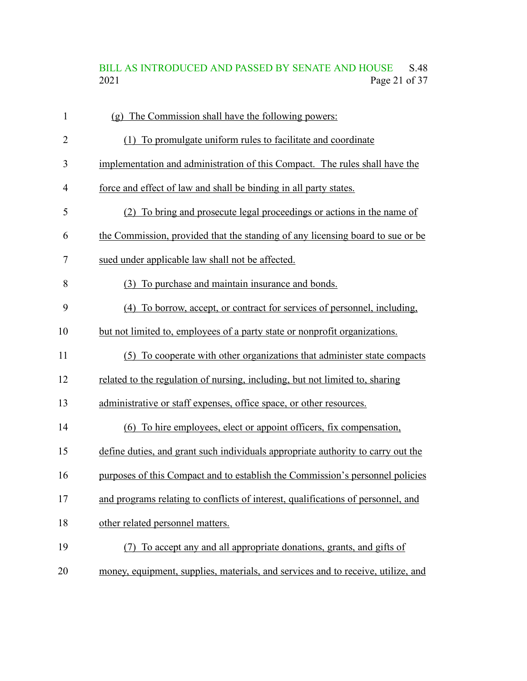# BILL AS INTRODUCED AND PASSED BY SENATE AND HOUSE S.48<br>2021 Page 21 of 37 Page 21 of 37

| $\mathbf{1}$   | (g) The Commission shall have the following powers:                              |
|----------------|----------------------------------------------------------------------------------|
| 2              | (1) To promulgate uniform rules to facilitate and coordinate                     |
| 3              | implementation and administration of this Compact. The rules shall have the      |
| $\overline{4}$ | force and effect of law and shall be binding in all party states.                |
| 5              | (2) To bring and prosecute legal proceedings or actions in the name of           |
| 6              | the Commission, provided that the standing of any licensing board to sue or be   |
| 7              | sued under applicable law shall not be affected.                                 |
| 8              | (3) To purchase and maintain insurance and bonds.                                |
| 9              | (4) To borrow, accept, or contract for services of personnel, including,         |
| 10             | but not limited to, employees of a party state or nonprofit organizations.       |
| 11             | (5) To cooperate with other organizations that administer state compacts         |
| 12             | related to the regulation of nursing, including, but not limited to, sharing     |
| 13             | administrative or staff expenses, office space, or other resources.              |
| 14             | (6) To hire employees, elect or appoint officers, fix compensation,              |
| 15             | define duties, and grant such individuals appropriate authority to carry out the |
| 16             | purposes of this Compact and to establish the Commission's personnel policies    |
| 17             | and programs relating to conflicts of interest, qualifications of personnel, and |
| 18             | other related personnel matters.                                                 |
| 19             | To accept any and all appropriate donations, grants, and gifts of                |
| 20             | money, equipment, supplies, materials, and services and to receive, utilize, and |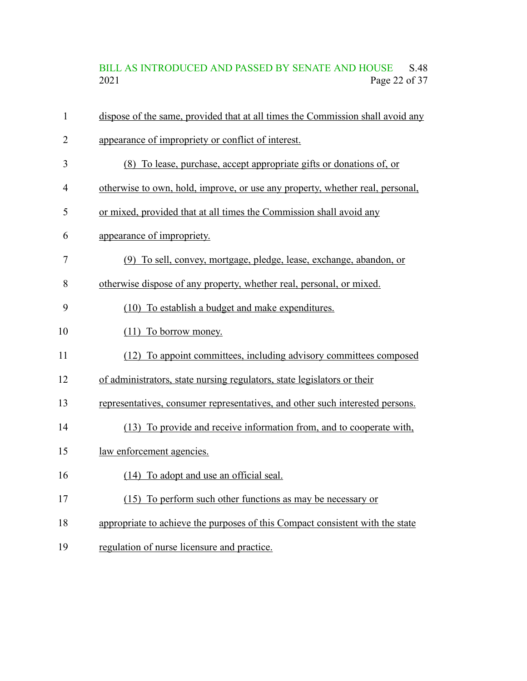BILL AS INTRODUCED AND PASSED BY SENATE AND HOUSE S.48<br>2021 Page 22 of 37 Page 22 of 37

| $\mathbf{1}$             | dispose of the same, provided that at all times the Commission shall avoid any |
|--------------------------|--------------------------------------------------------------------------------|
| $\overline{2}$           | appearance of impropriety or conflict of interest.                             |
| 3                        | (8) To lease, purchase, accept appropriate gifts or donations of, or           |
| $\overline{\mathcal{A}}$ | otherwise to own, hold, improve, or use any property, whether real, personal,  |
| 5                        | or mixed, provided that at all times the Commission shall avoid any            |
| 6                        | appearance of impropriety.                                                     |
| 7                        | (9) To sell, convey, mortgage, pledge, lease, exchange, abandon, or            |
| 8                        | otherwise dispose of any property, whether real, personal, or mixed.           |
| 9                        | (10) To establish a budget and make expenditures.                              |
| 10                       | (11) To borrow money.                                                          |
| 11                       | (12) To appoint committees, including advisory committees composed             |
| 12                       | of administrators, state nursing regulators, state legislators or their        |
| 13                       | representatives, consumer representatives, and other such interested persons.  |
| 14                       | (13) To provide and receive information from, and to cooperate with,           |
| 15                       | law enforcement agencies.                                                      |
| 16                       | (14) To adopt and use an official seal.                                        |
| 17                       | (15) To perform such other functions as may be necessary or                    |
| 18                       | appropriate to achieve the purposes of this Compact consistent with the state  |
| 19                       | regulation of nurse licensure and practice.                                    |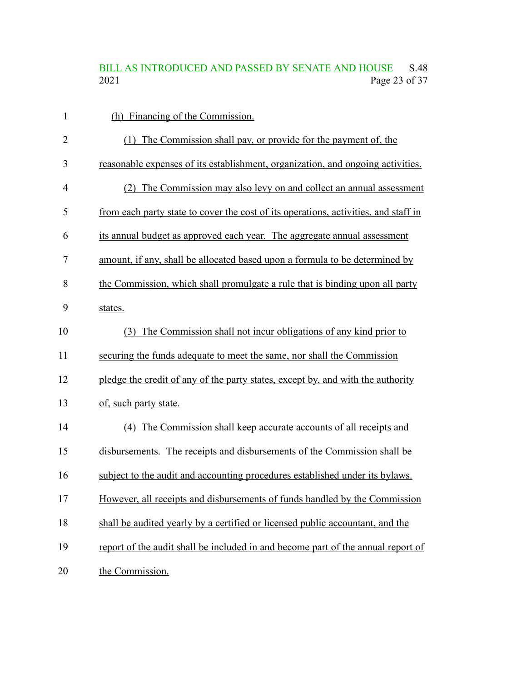# BILL AS INTRODUCED AND PASSED BY SENATE AND HOUSE S.48<br>2021 Page 23 of 37 Page 23 of 37

| $\mathbf{1}$   | (h) Financing of the Commission.                                                    |
|----------------|-------------------------------------------------------------------------------------|
| $\overline{2}$ | (1) The Commission shall pay, or provide for the payment of, the                    |
| 3              | reasonable expenses of its establishment, organization, and ongoing activities.     |
| $\overline{4}$ | (2) The Commission may also levy on and collect an annual assessment                |
| 5              | from each party state to cover the cost of its operations, activities, and staff in |
| 6              | its annual budget as approved each year. The aggregate annual assessment            |
| 7              | amount, if any, shall be allocated based upon a formula to be determined by         |
| 8              | the Commission, which shall promulgate a rule that is binding upon all party        |
| 9              | states.                                                                             |
| 10             | (3) The Commission shall not incur obligations of any kind prior to                 |
| 11             | securing the funds adequate to meet the same, nor shall the Commission              |
| 12             | pledge the credit of any of the party states, except by, and with the authority     |
| 13             | of, such party state.                                                               |
| 14             | (4) The Commission shall keep accurate accounts of all receipts and                 |
| 15             | disbursements. The receipts and disbursements of the Commission shall be            |
| 16             | subject to the audit and accounting procedures established under its bylaws.        |
| 17             | However, all receipts and disbursements of funds handled by the Commission          |
| 18             | shall be audited yearly by a certified or licensed public accountant, and the       |
| 19             | report of the audit shall be included in and become part of the annual report of    |
| 20             | the Commission.                                                                     |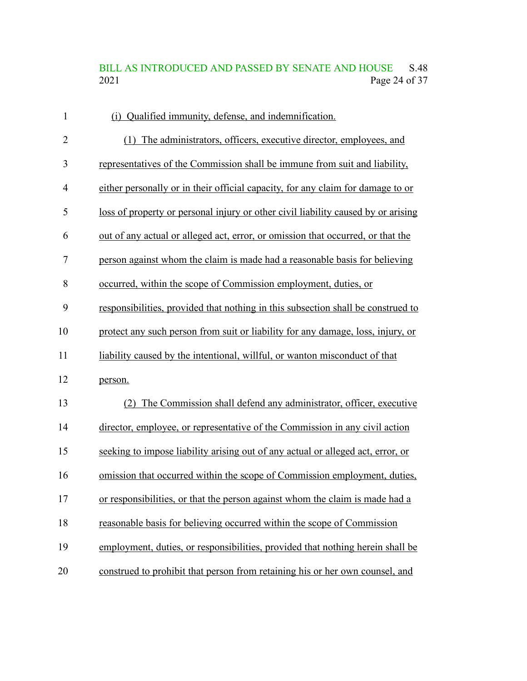## BILL AS INTRODUCED AND PASSED BY SENATE AND HOUSE S.48<br>2021 Page 24 of 37 Page 24 of 37

| $\mathbf{1}$   | (i) Qualified immunity, defense, and indemnification.                             |
|----------------|-----------------------------------------------------------------------------------|
| $\overline{2}$ | (1) The administrators, officers, executive director, employees, and              |
| 3              | representatives of the Commission shall be immune from suit and liability,        |
| $\overline{4}$ | either personally or in their official capacity, for any claim for damage to or   |
| 5              | loss of property or personal injury or other civil liability caused by or arising |
| 6              | out of any actual or alleged act, error, or omission that occurred, or that the   |
| 7              | person against whom the claim is made had a reasonable basis for believing        |
| 8              | occurred, within the scope of Commission employment, duties, or                   |
| 9              | responsibilities, provided that nothing in this subsection shall be construed to  |
| 10             | protect any such person from suit or liability for any damage, loss, injury, or   |
| 11             | liability caused by the intentional, willful, or wanton misconduct of that        |
| 12             | person.                                                                           |
| 13             | The Commission shall defend any administrator, officer, executive<br>(2)          |
| 14             | director, employee, or representative of the Commission in any civil action       |
| 15             | seeking to impose liability arising out of any actual or alleged act, error, or   |
| 16             | omission that occurred within the scope of Commission employment, duties,         |
| 17             | or responsibilities, or that the person against whom the claim is made had a      |
| 18             | reasonable basis for believing occurred within the scope of Commission            |
| 19             | employment, duties, or responsibilities, provided that nothing herein shall be    |
| 20             | construed to prohibit that person from retaining his or her own counsel, and      |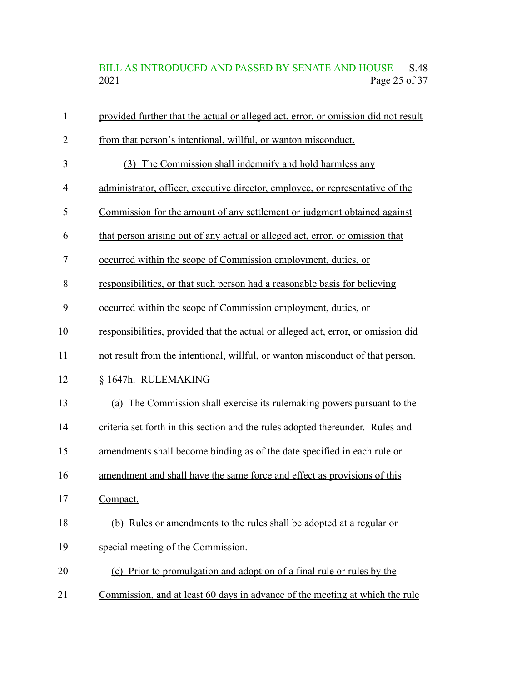# BILL AS INTRODUCED AND PASSED BY SENATE AND HOUSE S.48<br>2021 Page 25 of 37 Page 25 of 37

| $\mathbf{1}$ | provided further that the actual or alleged act, error, or omission did not result |
|--------------|------------------------------------------------------------------------------------|
| 2            | from that person's intentional, willful, or wanton misconduct.                     |
| 3            | (3) The Commission shall indemnify and hold harmless any                           |
| 4            | administrator, officer, executive director, employee, or representative of the     |
| 5            | Commission for the amount of any settlement or judgment obtained against           |
| 6            | that person arising out of any actual or alleged act, error, or omission that      |
| 7            | occurred within the scope of Commission employment, duties, or                     |
| 8            | responsibilities, or that such person had a reasonable basis for believing         |
| 9            | occurred within the scope of Commission employment, duties, or                     |
| 10           | responsibilities, provided that the actual or alleged act, error, or omission did  |
| 11           | not result from the intentional, willful, or wanton misconduct of that person.     |
| 12           | § 1647h. RULEMAKING                                                                |
| 13           | (a) The Commission shall exercise its rulemaking powers pursuant to the            |
| 14           | criteria set forth in this section and the rules adopted thereunder. Rules and     |
| 15           | amendments shall become binding as of the date specified in each rule or           |
| 16           | amendment and shall have the same force and effect as provisions of this           |
| 17           | Compact.                                                                           |
| 18           | (b) Rules or amendments to the rules shall be adopted at a regular or              |
| 19           | special meeting of the Commission.                                                 |
| 20           | (c) Prior to promulgation and adoption of a final rule or rules by the             |
| 21           | Commission, and at least 60 days in advance of the meeting at which the rule       |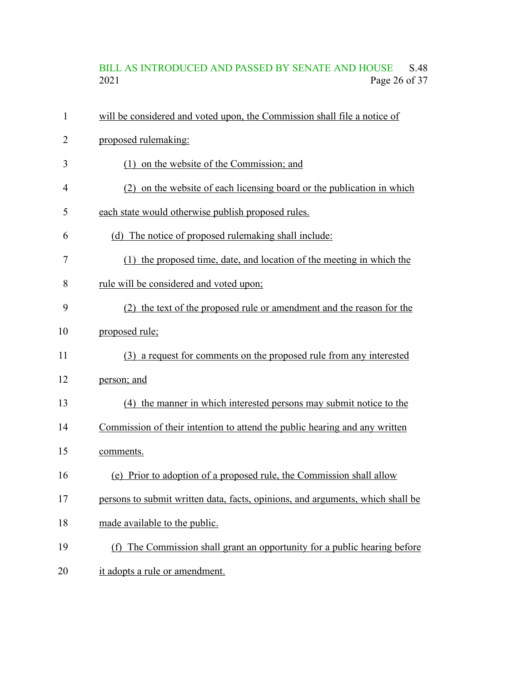## BILL AS INTRODUCED AND PASSED BY SENATE AND HOUSE S.48<br>2021 Page 26 of 37 Page 26 of 37

| $\mathbf{1}$ | will be considered and voted upon, the Commission shall file a notice of       |
|--------------|--------------------------------------------------------------------------------|
| 2            | proposed rulemaking:                                                           |
| 3            | (1) on the website of the Commission; and                                      |
| 4            | (2) on the website of each licensing board or the publication in which         |
| 5            | each state would otherwise publish proposed rules.                             |
| 6            | (d) The notice of proposed rulemaking shall include:                           |
| 7            | (1) the proposed time, date, and location of the meeting in which the          |
| 8            | rule will be considered and voted upon;                                        |
| 9            | (2) the text of the proposed rule or amendment and the reason for the          |
| 10           | proposed rule;                                                                 |
| 11           | (3) a request for comments on the proposed rule from any interested            |
| 12           | person; and                                                                    |
| 13           | (4) the manner in which interested persons may submit notice to the            |
| 14           | Commission of their intention to attend the public hearing and any written     |
| 15           | comments.                                                                      |
| 16           | Prior to adoption of a proposed rule, the Commission shall allow<br>(e)        |
| 17           | persons to submit written data, facts, opinions, and arguments, which shall be |
| 18           | made available to the public.                                                  |
| 19           | (f) The Commission shall grant an opportunity for a public hearing before      |
| 20           | it adopts a rule or amendment.                                                 |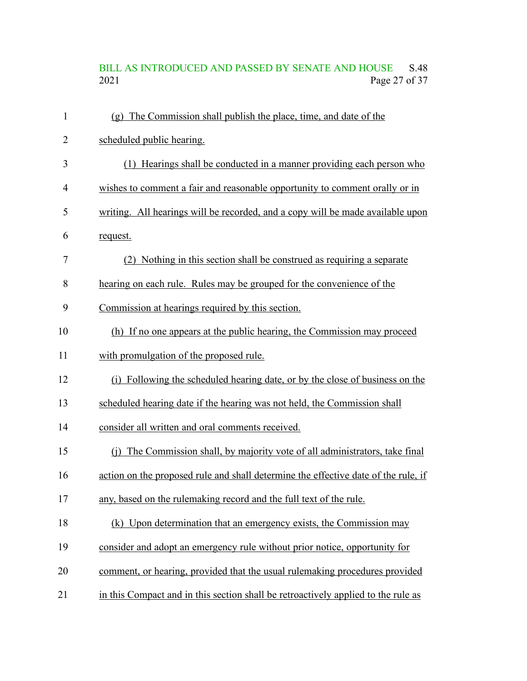# BILL AS INTRODUCED AND PASSED BY SENATE AND HOUSE S.48<br>2021 Page 27 of 37 Page 27 of 37

| $\mathbf{1}$   | (g) The Commission shall publish the place, time, and date of the                  |
|----------------|------------------------------------------------------------------------------------|
| $\overline{2}$ | scheduled public hearing.                                                          |
| 3              | (1) Hearings shall be conducted in a manner providing each person who              |
| 4              | wishes to comment a fair and reasonable opportunity to comment orally or in        |
| 5              | writing. All hearings will be recorded, and a copy will be made available upon     |
| 6              | request.                                                                           |
| 7              | (2) Nothing in this section shall be construed as requiring a separate             |
| 8              | hearing on each rule. Rules may be grouped for the convenience of the              |
| 9              | Commission at hearings required by this section.                                   |
| 10             | (h) If no one appears at the public hearing, the Commission may proceed            |
| 11             | with promulgation of the proposed rule.                                            |
| 12             | (i) Following the scheduled hearing date, or by the close of business on the       |
| 13             | scheduled hearing date if the hearing was not held, the Commission shall           |
| 14             | consider all written and oral comments received.                                   |
| 15             | (j) The Commission shall, by majority vote of all administrators, take final       |
| 16             | action on the proposed rule and shall determine the effective date of the rule, if |
| 17             | any, based on the rulemaking record and the full text of the rule.                 |
| 18             | (k) Upon determination that an emergency exists, the Commission may                |
| 19             | consider and adopt an emergency rule without prior notice, opportunity for         |
| 20             | comment, or hearing, provided that the usual rulemaking procedures provided        |
| 21             | in this Compact and in this section shall be retroactively applied to the rule as  |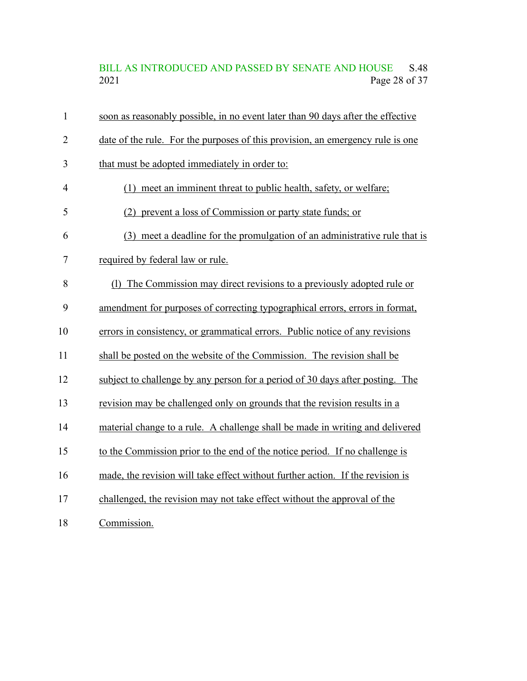# BILL AS INTRODUCED AND PASSED BY SENATE AND HOUSE S.48<br>2021 Page 28 of 37 Page 28 of 37

| $\mathbf{1}$   | soon as reasonably possible, in no event later than 90 days after the effective |
|----------------|---------------------------------------------------------------------------------|
| $\overline{2}$ | date of the rule. For the purposes of this provision, an emergency rule is one  |
| 3              | that must be adopted immediately in order to:                                   |
| $\overline{4}$ | (1) meet an imminent threat to public health, safety, or welfare;               |
| 5              | (2) prevent a loss of Commission or party state funds; or                       |
| 6              | (3) meet a deadline for the promulgation of an administrative rule that is      |
| $\tau$         | required by federal law or rule.                                                |
| 8              | (1) The Commission may direct revisions to a previously adopted rule or         |
| 9              | amendment for purposes of correcting typographical errors, errors in format,    |
| 10             | errors in consistency, or grammatical errors. Public notice of any revisions    |
| 11             | shall be posted on the website of the Commission. The revision shall be         |
| 12             | subject to challenge by any person for a period of 30 days after posting. The   |
| 13             | revision may be challenged only on grounds that the revision results in a       |
| 14             | material change to a rule. A challenge shall be made in writing and delivered   |
| 15             | to the Commission prior to the end of the notice period. If no challenge is     |
| 16             | made, the revision will take effect without further action. If the revision is  |
| 17             | challenged, the revision may not take effect without the approval of the        |
| 18             | Commission.                                                                     |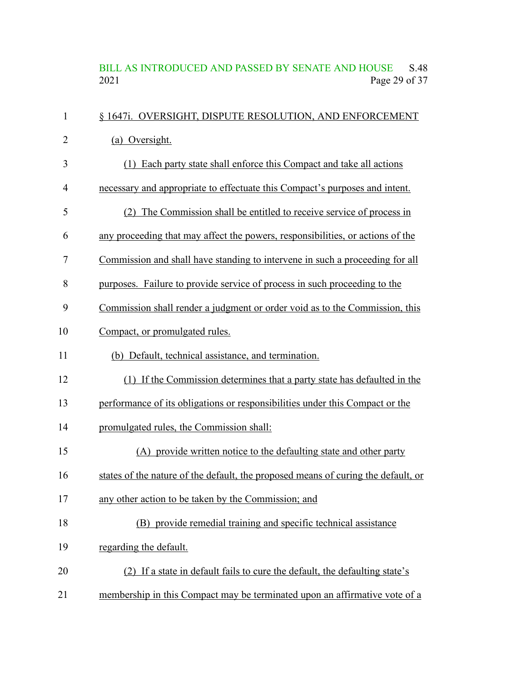#### BILL AS INTRODUCED AND PASSED BY SENATE AND HOUSE S.48<br>2021 Page 29 of 37 Page 29 of 37

| 1              | § 1647i. OVERSIGHT, DISPUTE RESOLUTION, AND ENFORCEMENT                           |
|----------------|-----------------------------------------------------------------------------------|
| $\overline{2}$ | (a) Oversight.                                                                    |
| 3              | (1) Each party state shall enforce this Compact and take all actions              |
| 4              | necessary and appropriate to effectuate this Compact's purposes and intent.       |
| 5              | (2) The Commission shall be entitled to receive service of process in             |
| 6              | any proceeding that may affect the powers, responsibilities, or actions of the    |
| 7              | Commission and shall have standing to intervene in such a proceeding for all      |
| 8              | purposes. Failure to provide service of process in such proceeding to the         |
| 9              | Commission shall render a judgment or order void as to the Commission, this       |
| 10             | Compact, or promulgated rules.                                                    |
| 11             | (b) Default, technical assistance, and termination.                               |
| 12             | (1) If the Commission determines that a party state has defaulted in the          |
| 13             | performance of its obligations or responsibilities under this Compact or the      |
| 14             | promulgated rules, the Commission shall:                                          |
| 15             | (A) provide written notice to the defaulting state and other party                |
| 16             | states of the nature of the default, the proposed means of curing the default, or |
| 17             | any other action to be taken by the Commission; and                               |
| 18             | (B) provide remedial training and specific technical assistance                   |
| 19             | regarding the default.                                                            |
| 20             | (2) If a state in default fails to cure the default, the defaulting state's       |
| 21             | membership in this Compact may be terminated upon an affirmative vote of a        |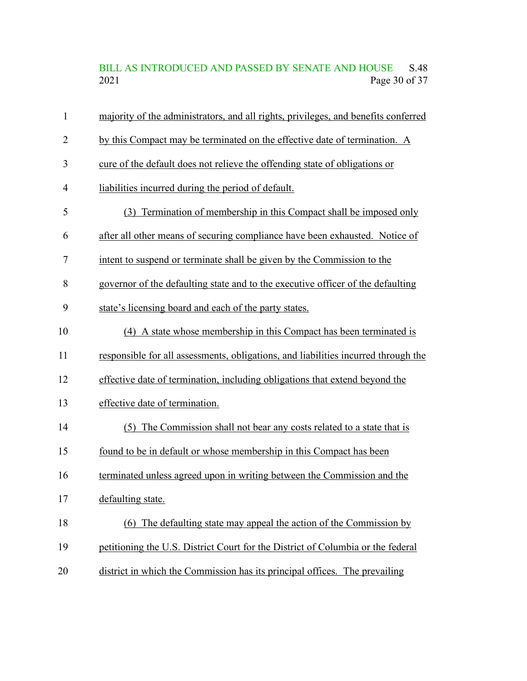BILL AS INTRODUCED AND PASSED BY SENATE AND HOUSE S.48<br>2021 Page 30 of 37 Page 30 of 37

| $\mathbf{1}$   | majority of the administrators, and all rights, privileges, and benefits conferred |
|----------------|------------------------------------------------------------------------------------|
| $\overline{2}$ | by this Compact may be terminated on the effective date of termination. A          |
| 3              | cure of the default does not relieve the offending state of obligations or         |
| 4              | liabilities incurred during the period of default.                                 |
| 5              | (3) Termination of membership in this Compact shall be imposed only                |
| 6              | after all other means of securing compliance have been exhausted. Notice of        |
| 7              | intent to suspend or terminate shall be given by the Commission to the             |
| 8              | governor of the defaulting state and to the executive officer of the defaulting    |
| 9              | state's licensing board and each of the party states.                              |
| 10             | (4) A state whose membership in this Compact has been terminated is                |
| 11             | responsible for all assessments, obligations, and liabilities incurred through the |
| 12             | effective date of termination, including obligations that extend beyond the        |
| 13             | effective date of termination.                                                     |
| 14             | (5) The Commission shall not bear any costs related to a state that is             |
| 15             | found to be in default or whose membership in this Compact has been                |
| 16             | terminated unless agreed upon in writing between the Commission and the            |
| 17             | defaulting state.                                                                  |
| 18             | (6) The defaulting state may appeal the action of the Commission by                |
| 19             | petitioning the U.S. District Court for the District of Columbia or the federal    |
| 20             | district in which the Commission has its principal offices. The prevailing         |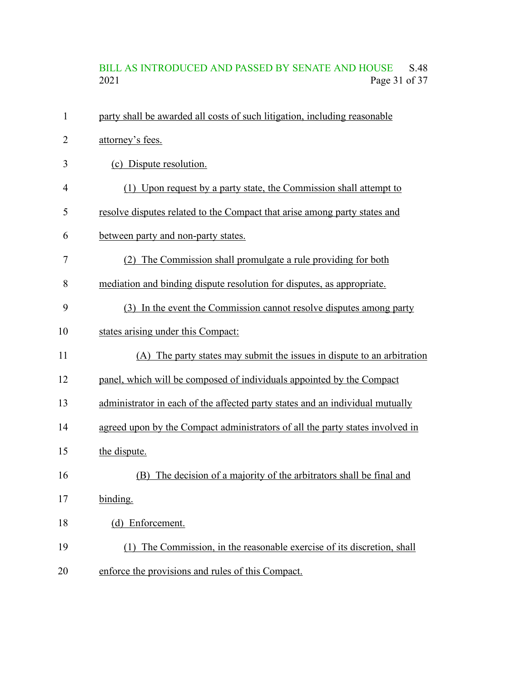# BILL AS INTRODUCED AND PASSED BY SENATE AND HOUSE S.48<br>2021 Page 31 of 37 Page 31 of 37

| $\mathbf{1}$   | party shall be awarded all costs of such litigation, including reasonable     |
|----------------|-------------------------------------------------------------------------------|
| $\overline{2}$ | attorney's fees.                                                              |
| 3              | (c) Dispute resolution.                                                       |
| 4              | (1) Upon request by a party state, the Commission shall attempt to            |
| 5              | resolve disputes related to the Compact that arise among party states and     |
| 6              | between party and non-party states.                                           |
| 7              | (2) The Commission shall promulgate a rule providing for both                 |
| 8              | mediation and binding dispute resolution for disputes, as appropriate.        |
| 9              | (3) In the event the Commission cannot resolve disputes among party           |
| 10             | states arising under this Compact:                                            |
| 11             | (A) The party states may submit the issues in dispute to an arbitration       |
| 12             | panel, which will be composed of individuals appointed by the Compact         |
| 13             | administrator in each of the affected party states and an individual mutually |
| 14             | agreed upon by the Compact administrators of all the party states involved in |
| 15             | the dispute.                                                                  |
| 16             | The decision of a majority of the arbitrators shall be final and<br>(B)       |
| 17             | binding.                                                                      |
| 18             | (d) Enforcement.                                                              |
| 19             | (1) The Commission, in the reasonable exercise of its discretion, shall       |
| 20             | enforce the provisions and rules of this Compact.                             |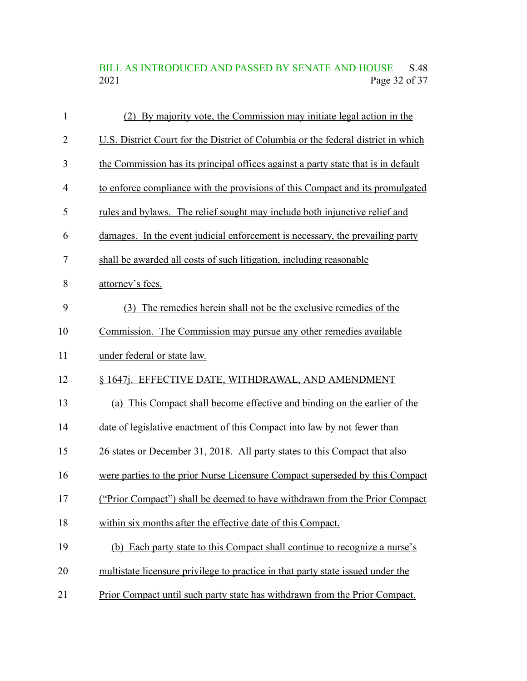# BILL AS INTRODUCED AND PASSED BY SENATE AND HOUSE S.48<br>2021 Page 32 of 37 Page 32 of 37

| $\mathbf{1}$   | (2) By majority vote, the Commission may initiate legal action in the             |
|----------------|-----------------------------------------------------------------------------------|
| $\overline{2}$ | U.S. District Court for the District of Columbia or the federal district in which |
| 3              | the Commission has its principal offices against a party state that is in default |
| $\overline{4}$ | to enforce compliance with the provisions of this Compact and its promulgated     |
| 5              | rules and bylaws. The relief sought may include both injunctive relief and        |
| 6              | damages. In the event judicial enforcement is necessary, the prevailing party     |
| 7              | shall be awarded all costs of such litigation, including reasonable               |
| 8              | attorney's fees.                                                                  |
| 9              | (3) The remedies herein shall not be the exclusive remedies of the                |
| 10             | Commission. The Commission may pursue any other remedies available                |
| 11             | under federal or state law.                                                       |
| 12             | § 1647j. EFFECTIVE DATE, WITHDRAWAL, AND AMENDMENT                                |
| 13             | (a) This Compact shall become effective and binding on the earlier of the         |
| 14             | date of legislative enactment of this Compact into law by not fewer than          |
| 15             | 26 states or December 31, 2018. All party states to this Compact that also        |
| 16             | were parties to the prior Nurse Licensure Compact superseded by this Compact      |
| 17             | ("Prior Compact") shall be deemed to have withdrawn from the Prior Compact        |
| 18             | within six months after the effective date of this Compact.                       |
| 19             | (b) Each party state to this Compact shall continue to recognize a nurse's        |
| 20             | multistate licensure privilege to practice in that party state issued under the   |
| 21             | Prior Compact until such party state has withdrawn from the Prior Compact.        |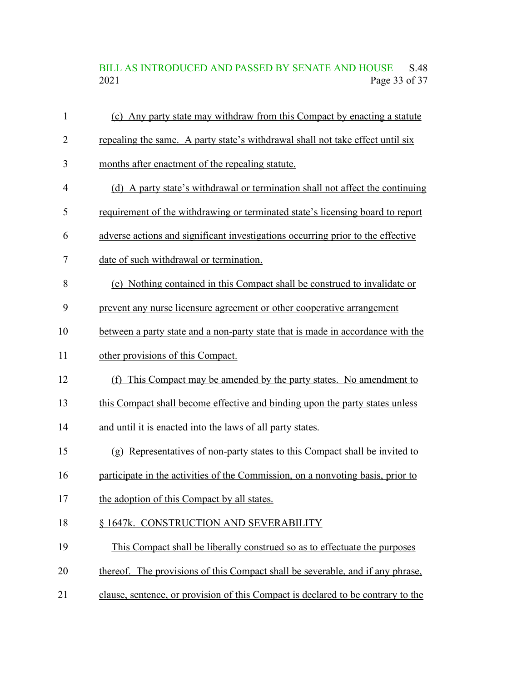#### BILL AS INTRODUCED AND PASSED BY SENATE AND HOUSE S.48<br>2021 Page 33 of 37 Page 33 of 37

| $\mathbf{1}$ | (c) Any party state may withdraw from this Compact by enacting a statute         |
|--------------|----------------------------------------------------------------------------------|
| 2            | repealing the same. A party state's withdrawal shall not take effect until six   |
| 3            | months after enactment of the repealing statute.                                 |
| 4            | (d) A party state's withdrawal or termination shall not affect the continuing    |
| 5            | requirement of the withdrawing or terminated state's licensing board to report   |
| 6            | adverse actions and significant investigations occurring prior to the effective  |
| 7            | date of such withdrawal or termination.                                          |
| 8            | (e) Nothing contained in this Compact shall be construed to invalidate or        |
| 9            | prevent any nurse licensure agreement or other cooperative arrangement           |
| 10           | between a party state and a non-party state that is made in accordance with the  |
| 11           | other provisions of this Compact.                                                |
| 12           | (f) This Compact may be amended by the party states. No amendment to             |
| 13           | this Compact shall become effective and binding upon the party states unless     |
| 14           | and until it is enacted into the laws of all party states.                       |
| 15           | (g) Representatives of non-party states to this Compact shall be invited to      |
| 16           | participate in the activities of the Commission, on a nonvoting basis, prior to  |
| 17           | the adoption of this Compact by all states.                                      |
| 18           | § 1647k. CONSTRUCTION AND SEVERABILITY                                           |
| 19           | This Compact shall be liberally construed so as to effectuate the purposes       |
| 20           | thereof. The provisions of this Compact shall be severable, and if any phrase,   |
| 21           | clause, sentence, or provision of this Compact is declared to be contrary to the |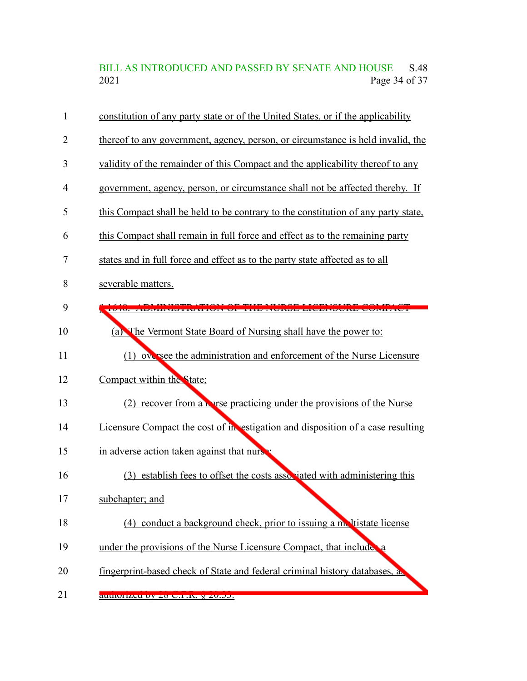BILL AS INTRODUCED AND PASSED BY SENATE AND HOUSE S.48<br>2021 Page 34 of 37 Page 34 of 37

| 1              | constitution of any party state or of the United States, or if the applicability  |
|----------------|-----------------------------------------------------------------------------------|
| $\overline{2}$ | thereof to any government, agency, person, or circumstance is held invalid, the   |
| 3              | validity of the remainder of this Compact and the applicability thereof to any    |
| 4              | government, agency, person, or circumstance shall not be affected thereby. If     |
| 5              | this Compact shall be held to be contrary to the constitution of any party state, |
| 6              | this Compact shall remain in full force and effect as to the remaining party      |
| 7              | states and in full force and effect as to the party state affected as to all      |
| 8              | severable matters.                                                                |
| 9              |                                                                                   |
| 10             | (a) The Vermont State Board of Nursing shall have the power to:                   |
| 11             | (1) oversee the administration and enforcement of the Nurse Licensure             |
| 12             | Compact within the State;                                                         |
| 13             | (2) recover from a horse practicing under the provisions of the Nurse             |
| 14             | Licensure Compact the cost of investigation and disposition of a case resulting   |
| 15             | in adverse action taken against that nurse                                        |
| 16             | (3) establish fees to offset the costs associated with administering this         |
| 17             | subchapter; and                                                                   |
| 18             | (4) conduct a background check, prior to issuing a matristate license             |
| 19             | under the provisions of the Nurse Licensure Compact, that includes a              |
| 20             | fingerprint-based check of State and federal criminal history databases, as       |
| 21             | authorized by zo C.F.R. $\frac{1}{2}$ zv.                                         |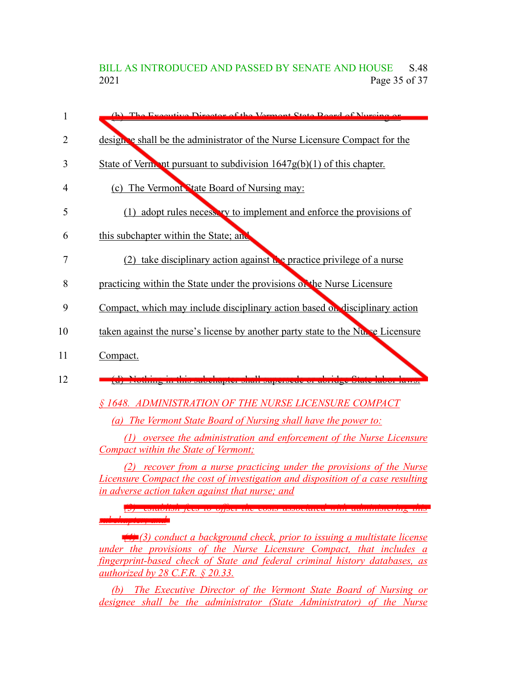BILL AS INTRODUCED AND PASSED BY SENATE AND HOUSE S.48<br>2021 Page 35 of 37 Page 35 of 37

| 1  | (b) The Executive Director of the Vermont State Poerd of Nursing or                                                                                                                                                                                  |
|----|------------------------------------------------------------------------------------------------------------------------------------------------------------------------------------------------------------------------------------------------------|
|    |                                                                                                                                                                                                                                                      |
| 2  | designee shall be the administrator of the Nurse Licensure Compact for the                                                                                                                                                                           |
| 3  | State of Vermont pursuant to subdivision $1647g(b)(1)$ of this chapter.                                                                                                                                                                              |
| 4  | (c) The Vermont State Board of Nursing may:                                                                                                                                                                                                          |
| 5  | (1) adopt rules necessary to implement and enforce the provisions of                                                                                                                                                                                 |
| 6  | this subchapter within the State; and                                                                                                                                                                                                                |
| 7  | (2) take disciplinary action against $\mathbf{L}$ e practice privilege of a nurse                                                                                                                                                                    |
| 8  | practicing within the State under the provisions of the Nurse Licensure                                                                                                                                                                              |
| 9  | Compact, which may include disciplinary action based on disciplinary action                                                                                                                                                                          |
| 10 | taken against the nurse's license by another party state to the Nurse Licensure                                                                                                                                                                      |
| 11 | Compact.                                                                                                                                                                                                                                             |
|    |                                                                                                                                                                                                                                                      |
|    |                                                                                                                                                                                                                                                      |
| 12 | othing in this subchapter shall superseat                                                                                                                                                                                                            |
|    | § 1648. ADMINISTRATION OF THE NURSE LICENSURE COMPACT                                                                                                                                                                                                |
|    | (a) The Vermont State Board of Nursing shall have the power to:<br>(1) oversee the administration and enforcement of the Nurse Licensure                                                                                                             |
|    | <b>Compact within the State of Vermont;</b>                                                                                                                                                                                                          |
|    | (2) recover from a nurse practicing under the provisions of the Nurse<br>Licensure Compact the cost of investigation and disposition of a case resulting<br>in adverse action taken against that nurse; and                                          |
|    |                                                                                                                                                                                                                                                      |
|    |                                                                                                                                                                                                                                                      |
|    | $\langle \cdot \rangle$ (3) conduct a background check, prior to issuing a multistate license<br>under the provisions of the Nurse Licensure Compact, that includes a<br>fingerprint-based check of State and federal criminal history databases, as |
|    | authorized by $28$ C.F.R. § 20.33.<br>(b) The Executive Director of the Vermont State Board of Nursing or<br>designee shall be the administrator (State Administrator) of the Nurse                                                                  |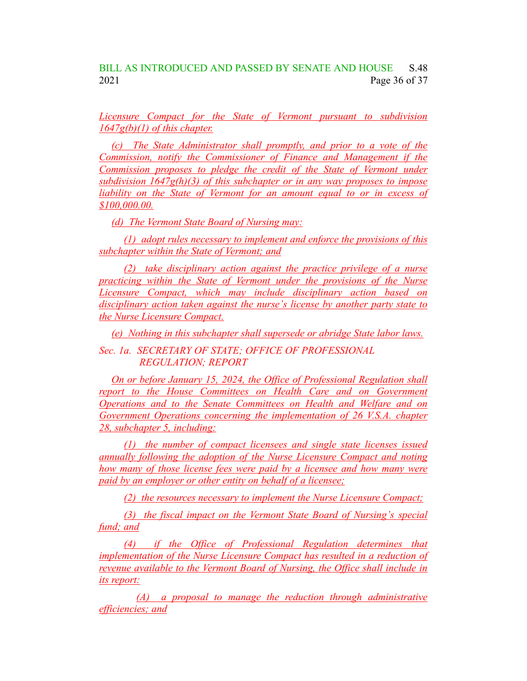*Licensure Compact for the State of Vermont pursuant to subdivision 1647g(b)(1) of this chapter.*

*(c) The State Administrator shall promptly, and prior to a vote of the Commission, notify the Commissioner of Finance and Management if the Commission proposes to pledge the credit of the State of Vermont under subdivision 1647g(h)(3) of this subchapter or in any way proposes to impose liability on the State of Vermont for an amount equal to or in excess of \$100,000.00.*

*(d) The Vermont State Board of Nursing may:*

*(1) adopt rules necessary to implement and enforce the provisions of this subchapter within the State of Vermont; and*

*(2) take disciplinary action against the practice privilege of a nurse practicing within the State of Vermont under the provisions of the Nurse Licensure Compact, which may include disciplinary action based on disciplinary action taken against the nurse's license by another party state to the Nurse Licensure Compact.*

*(e) Nothing in this subchapter shall supersede or abridge State labor laws.*

*Sec. 1a. SECRETARY OF STATE; OFFICE OF PROFESSIONAL REGULATION; REPORT*

*On or before January 15, 2024, the Office of Professional Regulation shall report to the House Committees on Health Care and on Government Operations and to the Senate Committees on Health and Welfare and on Government Operations concerning the implementation of 26 V.S.A. chapter 28, subchapter 5, including:*

*(1) the number of compact licensees and single state licenses issued annually following the adoption of the Nurse Licensure Compact and noting how many of those license fees were paid by a licensee and how many were paid by an employer or other entity on behalf of a licensee;*

*(2) the resources necessary to implement the Nurse Licensure Compact;*

*(3) the fiscal impact on the Vermont State Board of Nursing's special fund; and*

*(4) if the Office of Professional Regulation determines that implementation of the Nurse Licensure Compact has resulted in a reduction of revenue available to the Vermont Board of Nursing, the Office shall include in its report:*

*(A) a proposal to manage the reduction through administrative efficiencies; and*